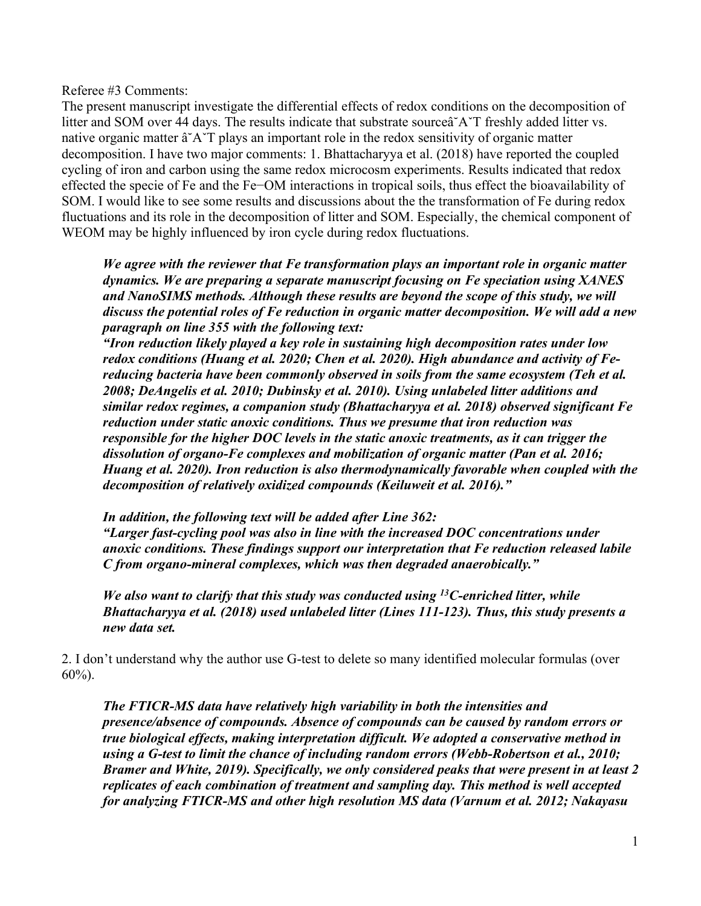Referee #3 Comments:

The present manuscript investigate the differential effects of redox conditions on the decomposition of litter and SOM over 44 days. The results indicate that substrate sourceâ˘AˇT freshly added litter vs. native organic matter â˘AˇT plays an important role in the redox sensitivity of organic matter decomposition. I have two major comments: 1. Bhattacharyya et al. (2018) have reported the coupled cycling of iron and carbon using the same redox microcosm experiments. Results indicated that redox effected the specie of Fe and the Fe−OM interactions in tropical soils, thus effect the bioavailability of SOM. I would like to see some results and discussions about the the transformation of Fe during redox fluctuations and its role in the decomposition of litter and SOM. Especially, the chemical component of WEOM may be highly influenced by iron cycle during redox fluctuations.

*We agree with the reviewer that Fe transformation plays an important role in organic matter dynamics. We are preparing a separate manuscript focusing on Fe speciation using XANES and NanoSIMS methods. Although these results are beyond the scope of this study, we will discuss the potential roles of Fe reduction in organic matter decomposition. We will add a new paragraph on line 355 with the following text:*

*"Iron reduction likely played a key role in sustaining high decomposition rates under low redox conditions (Huang et al. 2020; Chen et al. 2020). High abundance and activity of Fereducing bacteria have been commonly observed in soils from the same ecosystem (Teh et al. 2008; DeAngelis et al. 2010; Dubinsky et al. 2010). Using unlabeled litter additions and similar redox regimes, a companion study (Bhattacharyya et al. 2018) observed significant Fe reduction under static anoxic conditions. Thus we presume that iron reduction was responsible for the higher DOC levels in the static anoxic treatments, as it can trigger the dissolution of organo-Fe complexes and mobilization of organic matter (Pan et al. 2016; Huang et al. 2020). Iron reduction is also thermodynamically favorable when coupled with the decomposition of relatively oxidized compounds (Keiluweit et al. 2016)."*

*In addition, the following text will be added after Line 362: "Larger fast-cycling pool was also in line with the increased DOC concentrations under anoxic conditions. These findings support our interpretation that Fe reduction released labile C from organo-mineral complexes, which was then degraded anaerobically."*

*We also want to clarify that this study was conducted using 13C-enriched litter, while Bhattacharyya et al. (2018) used unlabeled litter (Lines 111-123). Thus, this study presents a new data set.* 

2. I don't understand why the author use G-test to delete so many identified molecular formulas (over 60%).

*The FTICR-MS data have relatively high variability in both the intensities and presence/absence of compounds. Absence of compounds can be caused by random errors or true biological effects, making interpretation difficult. We adopted a conservative method in using a G-test to limit the chance of including random errors (Webb-Robertson et al., 2010; Bramer and White, 2019). Specifically, we only considered peaks that were present in at least 2 replicates of each combination of treatment and sampling day. This method is well accepted for analyzing FTICR-MS and other high resolution MS data (Varnum et al. 2012; Nakayasu*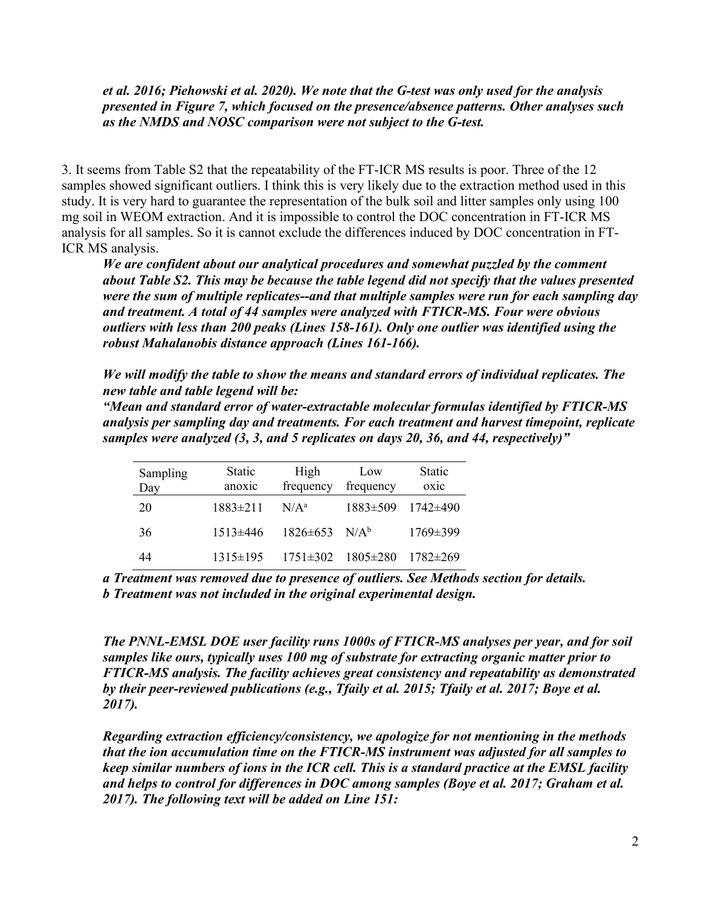*et al. 2016; Piehowski et al. 2020). We note that the G-test was only used for the analysis presented in Figure 7, which focused on the presence/absence patterns. Other analyses such as the NMDS and NOSC comparison were not subject to the G-test.*

3. It seems from Table S2 that the repeatability of the FT-ICR MS results is poor. Three of the 12 samples showed significant outliers. I think this is very likely due to the extraction method used in this study. It is very hard to guarantee the representation of the bulk soil and litter samples only using 100 mg soil in WEOM extraction. And it is impossible to control the DOC concentration in FT-ICR MS analysis for all samples. So it is cannot exclude the differences induced by DOC concentration in FT-ICR MS analysis.

*We are confident about our analytical procedures and somewhat puzzled by the comment about Table S2. This may be because the table legend did not specify that the values presented were the sum of multiple replicates--and that multiple samples were run for each sampling day and treatment. A total of 44 samples were analyzed with FTICR-MS. Four were obvious outliers with less than 200 peaks (Lines 158-161). Only one outlier was identified using the robust Mahalanobis distance approach (Lines 161-166).*

*We will modify the table to show the means and standard errors of individual replicates. The new table and table legend will be:* 

*"Mean and standard error of water-extractable molecular formulas identified by FTICR-MS analysis per sampling day and treatments. For each treatment and harvest timepoint, replicate samples were analyzed (3, 3, and 5 replicates on days 20, 36, and 44, respectively)"*

| Sampling<br>Day | Static<br>anoxic | High<br>frequency               | Low<br>frequency | <b>Static</b><br>oxic |
|-----------------|------------------|---------------------------------|------------------|-----------------------|
| 20              | $1883\pm211$     | $N/A^a$                         | $1883 \pm 509$   | 1742±490              |
| 36              | $1513\pm446$     | $1826 \pm 653$ N/A <sup>b</sup> |                  | $1769 \pm 399$        |
| 44              | $1315 \pm 195$   | $1751 \pm 302$                  | $1805 \pm 280$   | $1782 \pm 269$        |

*a Treatment was removed due to presence of outliers. See Methods section for details. b Treatment was not included in the original experimental design.*

*The PNNL-EMSL DOE user facility runs 1000s of FTICR-MS analyses per year, and for soil samples like ours, typically uses 100 mg of substrate for extracting organic matter prior to FTICR-MS analysis. The facility achieves great consistency and repeatability as demonstrated by their peer-reviewed publications (e.g., Tfaily et al. 2015; Tfaily et al. 2017; Boye et al. 2017).*

*Regarding extraction efficiency/consistency, we apologize for not mentioning in the methods that the ion accumulation time on the FTICR-MS instrument was adjusted for all samples to keep similar numbers of ions in the ICR cell. This is a standard practice at the EMSL facility and helps to control for differences in DOC among samples (Boye et al. 2017; Graham et al. 2017). The following text will be added on Line 151:*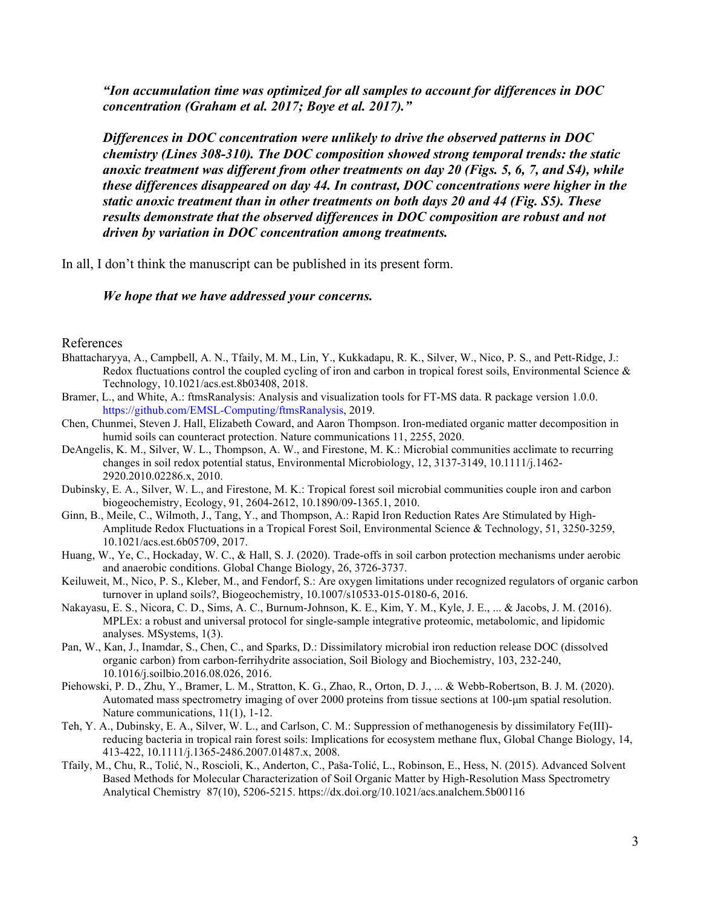*"Ion accumulation time was optimized for all samples to account for differences in DOC concentration (Graham et al. 2017; Boye et al. 2017)."*

*Differences in DOC concentration were unlikely to drive the observed patterns in DOC chemistry (Lines 308-310). The DOC composition showed strong temporal trends: the static anoxic treatment was different from other treatments on day 20 (Figs. 5, 6, 7, and S4), while these differences disappeared on day 44. In contrast, DOC concentrations were higher in the static anoxic treatment than in other treatments on both days 20 and 44 (Fig. S5). These results demonstrate that the observed differences in DOC composition are robust and not driven by variation in DOC concentration among treatments.* 

In all, I don't think the manuscript can be published in its present form.

## *We hope that we have addressed your concerns.*

## References

- Bhattacharyya, A., Campbell, A. N., Tfaily, M. M., Lin, Y., Kukkadapu, R. K., Silver, W., Nico, P. S., and Pett-Ridge, J.: Redox fluctuations control the coupled cycling of iron and carbon in tropical forest soils, Environmental Science  $\&$ Technology, 10.1021/acs.est.8b03408, 2018.
- Bramer, L., and White, A.: ftmsRanalysis: Analysis and visualization tools for FT-MS data. R package version 1.0.0. https://github.com/EMSL-Computing/ftmsRanalysis, 2019.
- Chen, Chunmei, Steven J. Hall, Elizabeth Coward, and Aaron Thompson. Iron-mediated organic matter decomposition in humid soils can counteract protection. Nature communications 11, 2255, 2020.
- DeAngelis, K. M., Silver, W. L., Thompson, A. W., and Firestone, M. K.: Microbial communities acclimate to recurring changes in soil redox potential status, Environmental Microbiology, 12, 3137-3149, 10.1111/j.1462- 2920.2010.02286.x, 2010.
- Dubinsky, E. A., Silver, W. L., and Firestone, M. K.: Tropical forest soil microbial communities couple iron and carbon biogeochemistry, Ecology, 91, 2604-2612, 10.1890/09-1365.1, 2010.
- Ginn, B., Meile, C., Wilmoth, J., Tang, Y., and Thompson, A.: Rapid Iron Reduction Rates Are Stimulated by High-Amplitude Redox Fluctuations in a Tropical Forest Soil, Environmental Science & Technology, 51, 3250-3259, 10.1021/acs.est.6b05709, 2017.
- Huang, W., Ye, C., Hockaday, W. C., & Hall, S. J. (2020). Trade‐offs in soil carbon protection mechanisms under aerobic and anaerobic conditions. Global Change Biology, 26, 3726-3737.
- Keiluweit, M., Nico, P. S., Kleber, M., and Fendorf, S.: Are oxygen limitations under recognized regulators of organic carbon turnover in upland soils?, Biogeochemistry, 10.1007/s10533-015-0180-6, 2016.
- Nakayasu, E. S., Nicora, C. D., Sims, A. C., Burnum-Johnson, K. E., Kim, Y. M., Kyle, J. E., ... & Jacobs, J. M. (2016). MPLEx: a robust and universal protocol for single-sample integrative proteomic, metabolomic, and lipidomic analyses. MSystems, 1(3).
- Pan, W., Kan, J., Inamdar, S., Chen, C., and Sparks, D.: Dissimilatory microbial iron reduction release DOC (dissolved organic carbon) from carbon-ferrihydrite association, Soil Biology and Biochemistry, 103, 232-240, 10.1016/j.soilbio.2016.08.026, 2016.
- Piehowski, P. D., Zhu, Y., Bramer, L. M., Stratton, K. G., Zhao, R., Orton, D. J., ... & Webb-Robertson, B. J. M. (2020). Automated mass spectrometry imaging of over 2000 proteins from tissue sections at 100-μm spatial resolution. Nature communications, 11(1), 1-12.
- Teh, Y. A., Dubinsky, E. A., Silver, W. L., and Carlson, C. M.: Suppression of methanogenesis by dissimilatory Fe(III) reducing bacteria in tropical rain forest soils: Implications for ecosystem methane flux, Global Change Biology, 14, 413-422, 10.1111/j.1365-2486.2007.01487.x, 2008.
- Tfaily, M., Chu, R., Tolić, N., Roscioli, K., Anderton, C., Paša-Tolić, L., Robinson, E., Hess, N. (2015). Advanced Solvent Based Methods for Molecular Characterization of Soil Organic Matter by High-Resolution Mass Spectrometry Analytical Chemistry 87(10), 5206-5215. https://dx.doi.org/10.1021/acs.analchem.5b00116